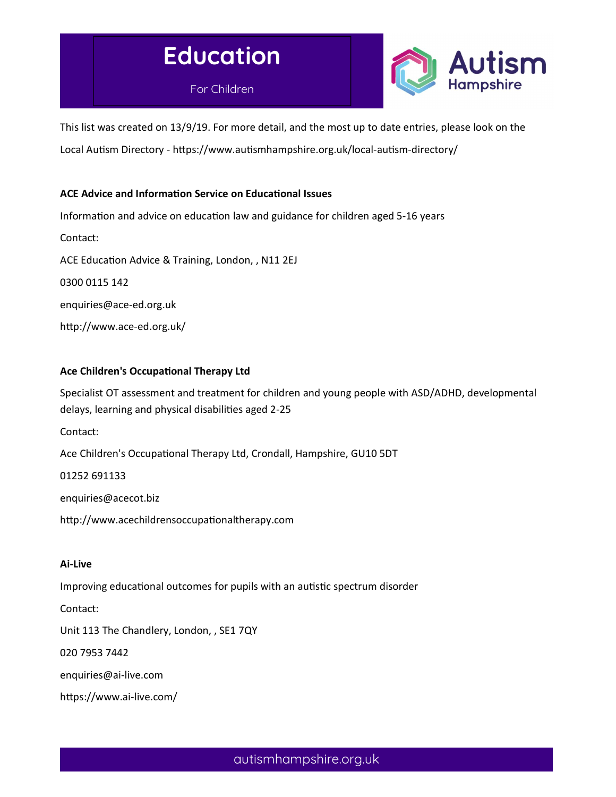# Education





This list was created on 13/9/19. For more detail, and the most up to date entries, please look on the Local Autism Directory - https://www.autismhampshire.org.uk/local-autism-directory/

# ACE Advice and Information Service on Educational Issues

Information and advice on education law and guidance for children aged 5-16 years Contact: ACE Education Advice & Training, London, , N11 2EJ 0300 0115 142 enquiries@ace-ed.org.uk http://www.ace-ed.org.uk/

# Ace Children's Occupational Therapy Ltd

Specialist OT assessment and treatment for children and young people with ASD/ADHD, developmental delays, learning and physical disabilities aged 2-25

Contact:

Ace Children's Occupational Therapy Ltd, Crondall, Hampshire, GU10 5DT

#### 01252 691133

enquiries@acecot.biz

http://www.acechildrensoccupationaltherapy.com

#### Ai-Live

Improving educational outcomes for pupils with an autistic spectrum disorder

Contact:

Unit 113 The Chandlery, London, , SE1 7QY

020 7953 7442

enquiries@ai-live.com

https://www.ai-live.com/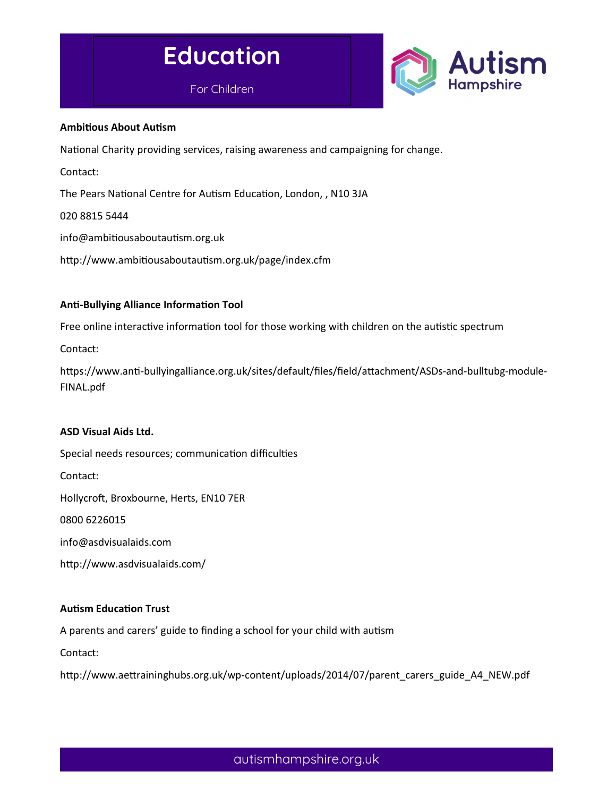



#### **Ambitious About Autism**

National Charity providing services, raising awareness and campaigning for change.

Contact:

The Pears National Centre for Autism Education, London, , N10 3JA

020 8815 5444

info@ambitiousaboutautism.org.uk

http://www.ambitiousaboutautism.org.uk/page/index.cfm

#### **Anti-Bullying Alliance Information Tool**

Free online interactive information tool for those working with children on the autistic spectrum

Contact:

https://www.anti-bullyingalliance.org.uk/sites/default/files/field/attachment/ASDs-and-bulltubg-module-FINAL.pdf

#### ASD Visual Aids Ltd.

Special needs resources; communication difficulties Contact: Hollycroft, Broxbourne, Herts, EN10 7ER 0800 6226015 info@asdvisualaids.com http://www.asdvisualaids.com/

#### **Autism Education Trust**

A parents and carers' guide to finding a school for your child with autism

Contact:

http://www.aettraininghubs.org.uk/wp-content/uploads/2014/07/parent\_carers\_guide\_A4\_NEW.pdf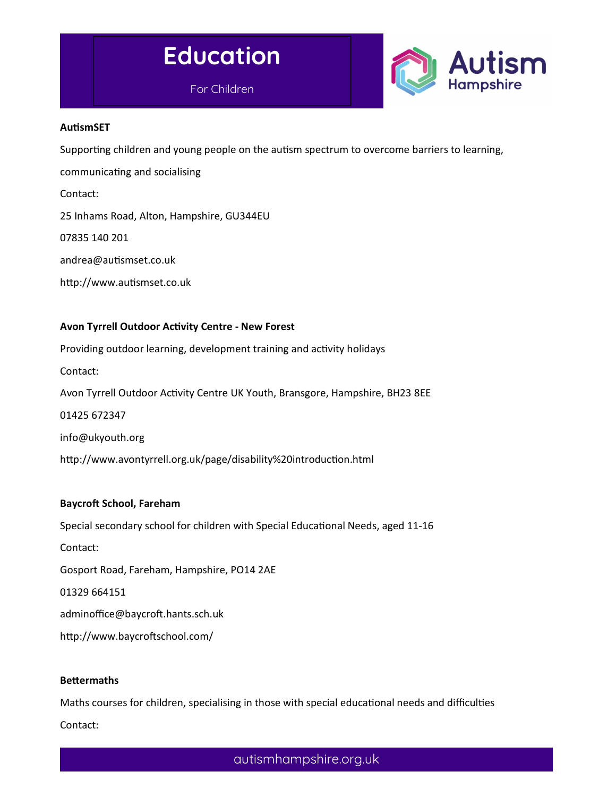



#### **AutismSET**

Supporting children and young people on the autism spectrum to overcome barriers to learning,

communicating and socialising

Contact:

25 Inhams Road, Alton, Hampshire, GU344EU

07835 140 201

andrea@auƟsmset.co.uk

http://www.autismset.co.uk

#### Avon Tyrrell Outdoor Activity Centre - New Forest

Providing outdoor learning, development training and activity holidays Contact: Avon Tyrrell Outdoor Activity Centre UK Youth, Bransgore, Hampshire, BH23 8EE 01425 672347 info@ukyouth.org

http://www.avontyrrell.org.uk/page/disability%20introduction.html

#### Baycroft School, Fareham

Special secondary school for children with Special Educational Needs, aged 11-16

Contact:

Gosport Road, Fareham, Hampshire, PO14 2AE

01329 664151

adminoffice@baycroft.hants.sch.uk

http://www.baycroftschool.com/

#### **Bettermaths**

Maths courses for children, specialising in those with special educational needs and difficulties Contact: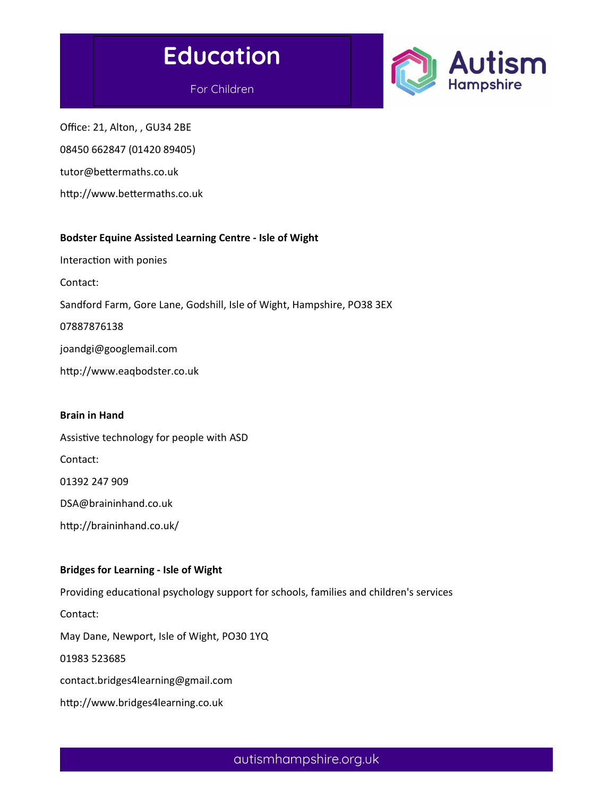



For Children

Office: 21, Alton, , GU34 2BE 08450 662847 (01420 89405) tutor@bettermaths.co.uk

http://www.bettermaths.co.uk

#### Bodster Equine Assisted Learning Centre - Isle of Wight

Interaction with ponies

Contact:

Sandford Farm, Gore Lane, Godshill, Isle of Wight, Hampshire, PO38 3EX

07887876138

joandgi@googlemail.com

http://www.eaqbodster.co.uk

#### Brain in Hand

Assistive technology for people with ASD Contact: 01392 247 909 DSA@braininhand.co.uk http://braininhand.co.uk/

# Bridges for Learning - Isle of Wight

Providing educational psychology support for schools, families and children's services

Contact:

May Dane, Newport, Isle of Wight, PO30 1YQ

01983 523685

contact.bridges4learning@gmail.com

http://www.bridges4learning.co.uk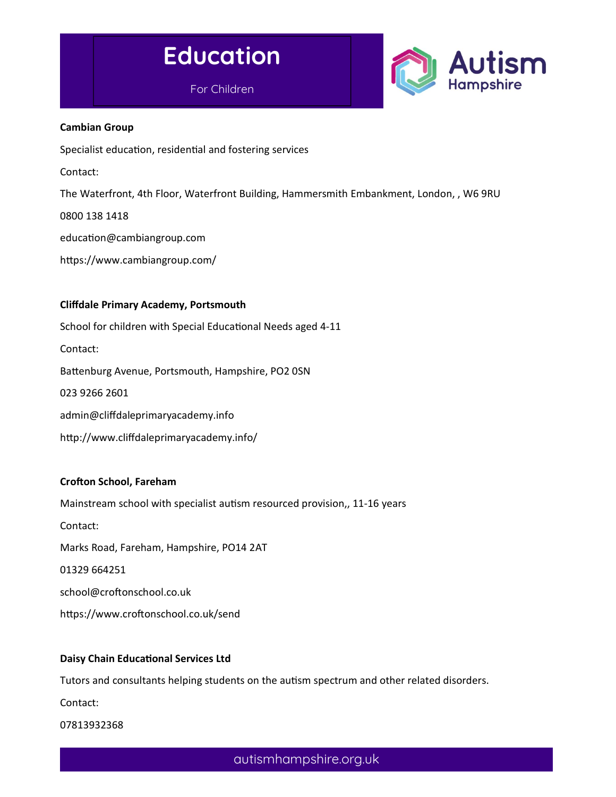



#### Cambian Group

Specialist education, residential and fostering services

Contact:

The Waterfront, 4th Floor, Waterfront Building, Hammersmith Embankment, London, , W6 9RU

0800 138 1418

education@cambiangroup.com

https://www.cambiangroup.com/

#### Cliffdale Primary Academy, Portsmouth

School for children with Special Educational Needs aged 4-11 Contact: Battenburg Avenue, Portsmouth, Hampshire, PO2 0SN 023 9266 2601 admin@cliffdaleprimaryacademy.info http://www.cliffdaleprimaryacademy.info/

#### Crofton School, Fareham

Mainstream school with specialist autism resourced provision,, 11-16 years Contact: Marks Road, Fareham, Hampshire, PO14 2AT 01329 664251 school@croftonschool.co.uk https://www.croftonschool.co.uk/send

#### Daisy Chain Educational Services Ltd

Tutors and consultants helping students on the autism spectrum and other related disorders.

Contact:

07813932368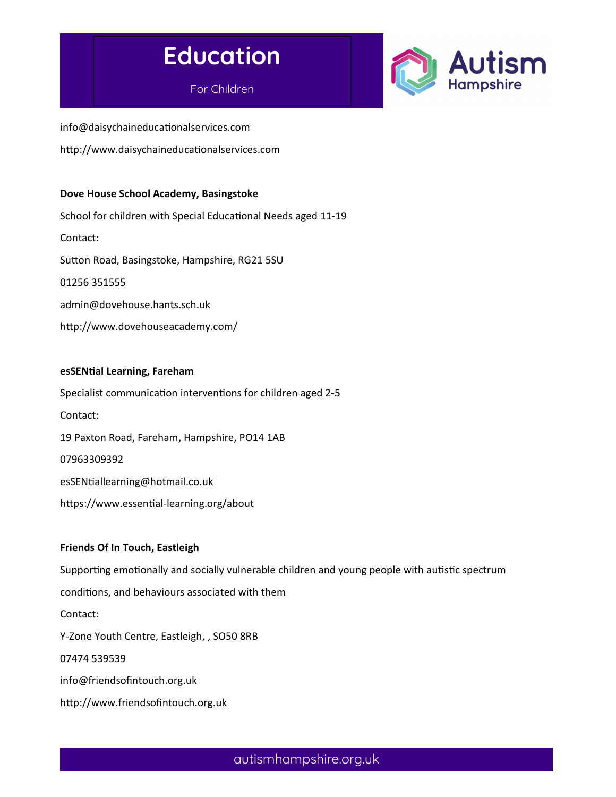# Education

For Children



info@daisychaineducationalservices.com http://www.daisychaineducationalservices.com

#### Dove House School Academy, Basingstoke

School for children with Special Educational Needs aged 11-19 Contact: Sutton Road, Basingstoke, Hampshire, RG21 5SU 01256 351555 admin@dovehouse.hants.sch.uk http://www.dovehouseacademy.com/

#### esSENtial Learning, Fareham

Specialist communication interventions for children aged 2-5 Contact: 19 Paxton Road, Fareham, Hampshire, PO14 1AB 07963309392 esSENtiallearning@hotmail.co.uk https://www.essential-learning.org/about

#### Friends Of In Touch, Eastleigh

Supporting emotionally and socially vulnerable children and young people with autistic spectrum conditions, and behaviours associated with them Contact: Y-Zone Youth Centre, Eastleigh, , SO50 8RB 07474 539539 info@friendsofintouch.org.uk http://www.friendsofintouch.org.uk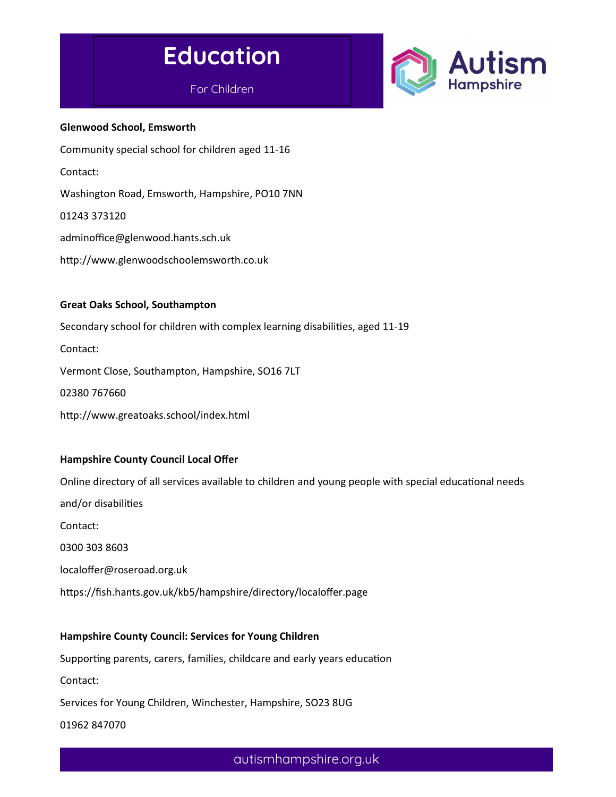

# For Children



Glenwood School, Emsworth Community special school for children aged 11-16 Contact: Washington Road, Emsworth, Hampshire, PO10 7NN 01243 373120 adminoffice@glenwood.hants.sch.uk http://www.glenwoodschoolemsworth.co.uk Great Oaks School, Southampton

Secondary school for children with complex learning disabilities, aged 11-19 Contact: Vermont Close, Southampton, Hampshire, SO16 7LT 02380 767660 http://www.greatoaks.school/index.html

#### Hampshire County Council Local Offer

Online directory of all services available to children and young people with special educational needs and/or disabilities Contact: 0300 303 8603 localoffer@roseroad.org.uk https://fish.hants.gov.uk/kb5/hampshire/directory/localoffer.page

# Hampshire County Council: Services for Young Children

Supporting parents, carers, families, childcare and early years education

Contact:

Services for Young Children, Winchester, Hampshire, SO23 8UG

01962 847070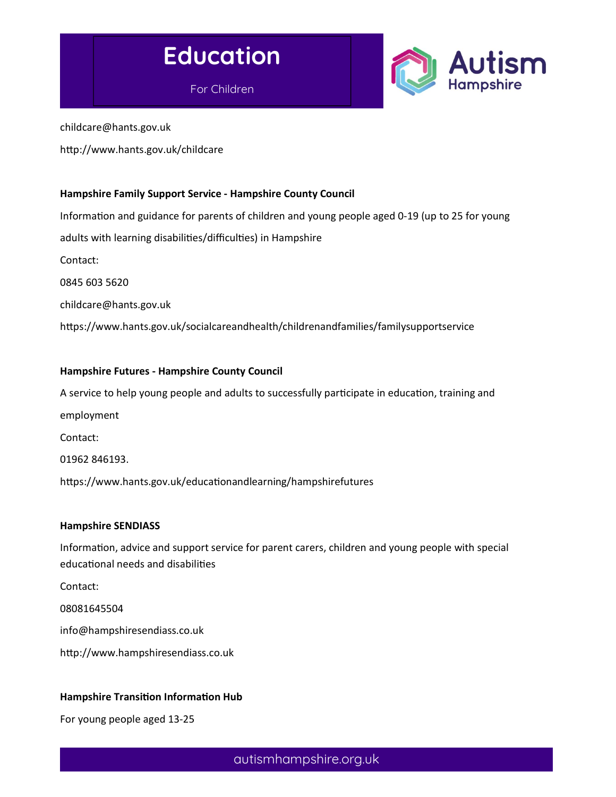



childcare@hants.gov.uk

http://www.hants.gov.uk/childcare

#### Hampshire Family Support Service - Hampshire County Council

Information and guidance for parents of children and young people aged 0-19 (up to 25 for young adults with learning disabilities/difficulties) in Hampshire Contact: 0845 603 5620 childcare@hants.gov.uk https://www.hants.gov.uk/socialcareandhealth/childrenandfamilies/familysupportservice

#### Hampshire Futures - Hampshire County Council

A service to help young people and adults to successfully participate in education, training and

employment

Contact:

01962 846193.

https://www.hants.gov.uk/educationandlearning/hampshirefutures

#### Hampshire SENDIASS

Information, advice and support service for parent carers, children and young people with special educational needs and disabilities

Contact:

08081645504

info@hampshiresendiass.co.uk

http://www.hampshiresendiass.co.uk

#### Hampshire Transition Information Hub

For young people aged 13-25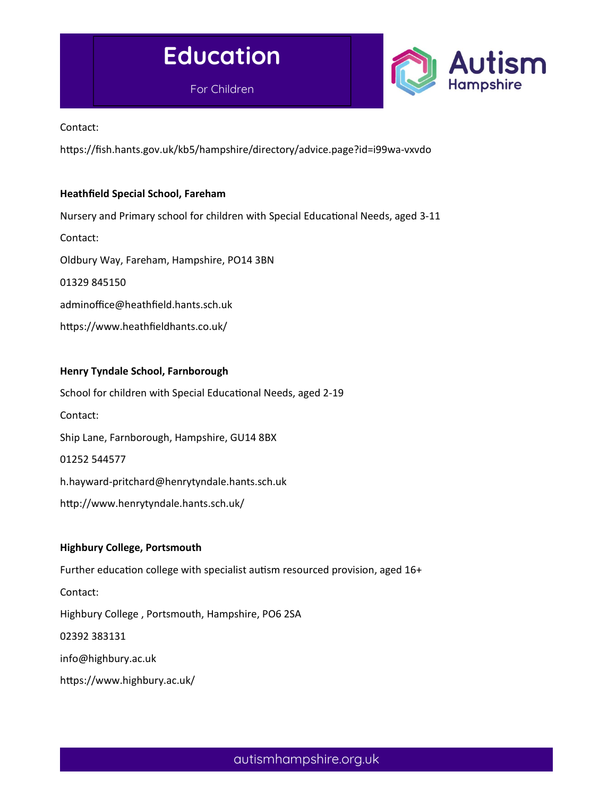



Contact:

https://fish.hants.gov.uk/kb5/hampshire/directory/advice.page?id=i99wa-vxvdo

#### Heathfield Special School, Fareham

Nursery and Primary school for children with Special Educational Needs, aged 3-11 Contact: Oldbury Way, Fareham, Hampshire, PO14 3BN 01329 845150 adminoffice@heathfield.hants.sch.uk https://www.heathfieldhants.co.uk/

#### Henry Tyndale School, Farnborough

School for children with Special Educational Needs, aged 2-19 Contact: Ship Lane, Farnborough, Hampshire, GU14 8BX 01252 544577 h.hayward-pritchard@henrytyndale.hants.sch.uk http://www.henrytyndale.hants.sch.uk/

#### Highbury College, Portsmouth

Further education college with specialist autism resourced provision, aged 16+ Contact: Highbury College , Portsmouth, Hampshire, PO6 2SA 02392 383131 info@highbury.ac.uk https://www.highbury.ac.uk/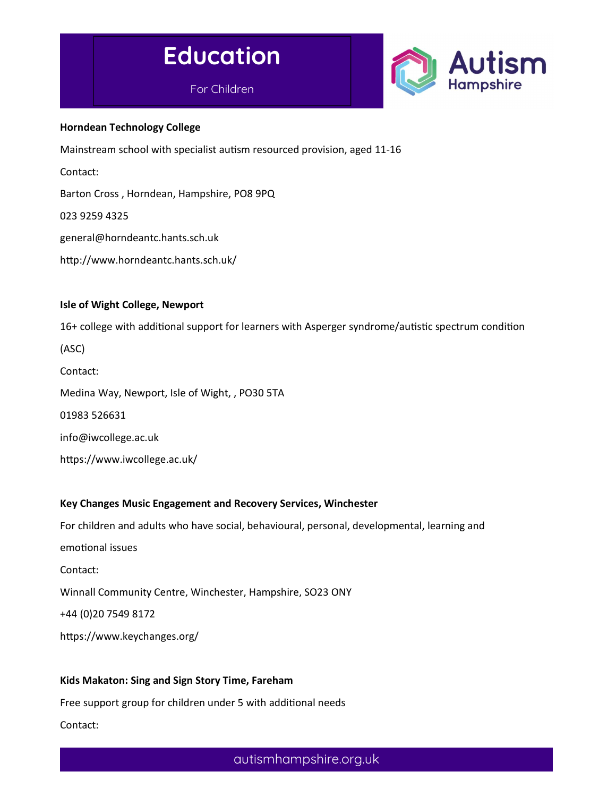



#### Horndean Technology College

Mainstream school with specialist autism resourced provision, aged 11-16

Contact:

Barton Cross , Horndean, Hampshire, PO8 9PQ

023 9259 4325

general@horndeantc.hants.sch.uk

http://www.horndeantc.hants.sch.uk/

#### Isle of Wight College, Newport

16+ college with additional support for learners with Asperger syndrome/autistic spectrum condition

(ASC)

Contact:

Medina Way, Newport, Isle of Wight, , PO30 5TA

01983 526631

info@iwcollege.ac.uk

https://www.iwcollege.ac.uk/

#### Key Changes Music Engagement and Recovery Services, Winchester

For children and adults who have social, behavioural, personal, developmental, learning and

emotional issues

Contact:

Winnall Community Centre, Winchester, Hampshire, SO23 ONY

+44 (0)20 7549 8172

https://www.keychanges.org/

# Kids Makaton: Sing and Sign Story Time, Fareham

Free support group for children under 5 with additional needs Contact: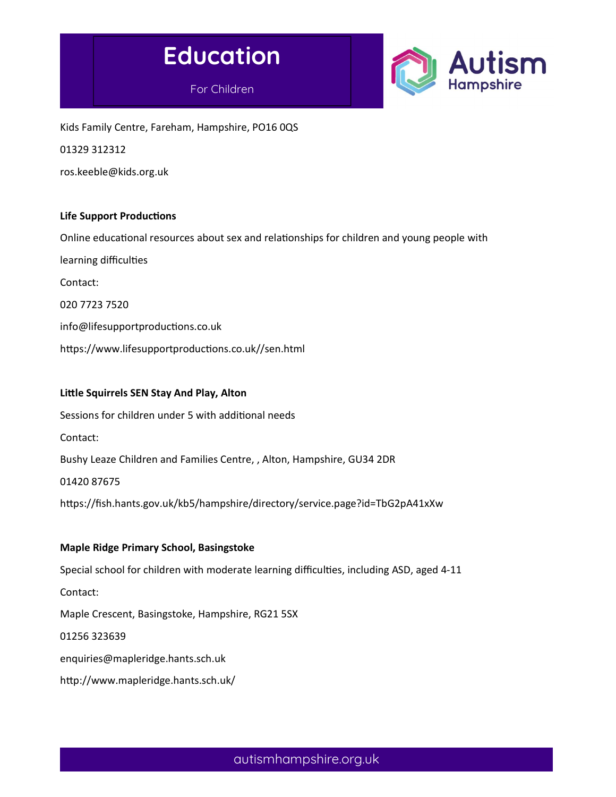



Kids Family Centre, Fareham, Hampshire, PO16 0QS 01329 312312

ros.keeble@kids.org.uk

#### Life Support Productions

Online educational resources about sex and relationships for children and young people with

learning difficulties

Contact:

020 7723 7520

info@lifesupportproductions.co.uk

https://www.lifesupportproductions.co.uk//sen.html

#### Little Squirrels SEN Stay And Play, Alton

Sessions for children under 5 with additional needs

Contact:

Bushy Leaze Children and Families Centre, , Alton, Hampshire, GU34 2DR

01420 87675

https://fish.hants.gov.uk/kb5/hampshire/directory/service.page?id=TbG2pA41xXw

#### Maple Ridge Primary School, Basingstoke

Special school for children with moderate learning difficulties, including ASD, aged 4-11 Contact: Maple Crescent, Basingstoke, Hampshire, RG21 5SX 01256 323639 enquiries@mapleridge.hants.sch.uk http://www.mapleridge.hants.sch.uk/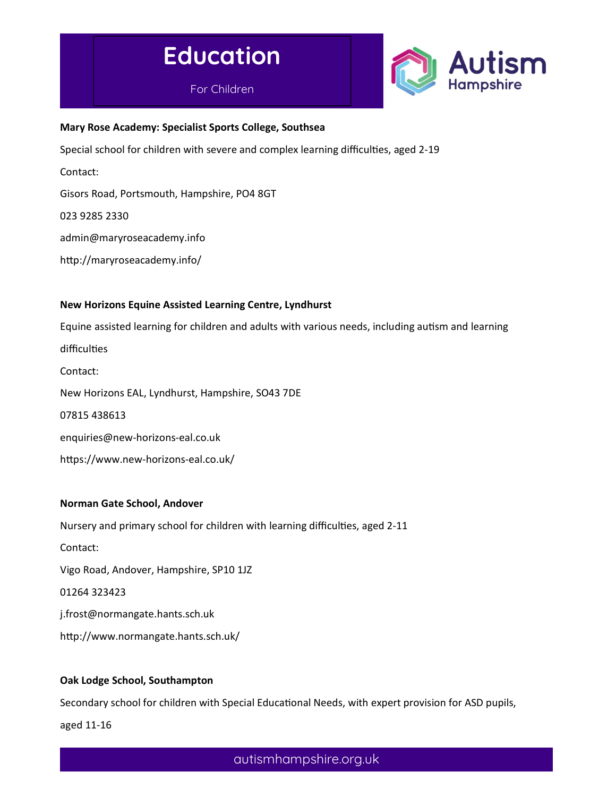



#### Mary Rose Academy: Specialist Sports College, Southsea

Special school for children with severe and complex learning difficulties, aged 2-19

Contact:

Gisors Road, Portsmouth, Hampshire, PO4 8GT

023 9285 2330

admin@maryroseacademy.info

http://maryroseacademy.info/

#### New Horizons Equine Assisted Learning Centre, Lyndhurst

Equine assisted learning for children and adults with various needs, including autism and learning difficulties

Contact: New Horizons EAL, Lyndhurst, Hampshire, SO43 7DE 07815 438613 enquiries@new-horizons-eal.co.uk https://www.new-horizons-eal.co.uk/

#### Norman Gate School, Andover

Nursery and primary school for children with learning difficulties, aged 2-11

Contact:

Vigo Road, Andover, Hampshire, SP10 1JZ

01264 323423

j.frost@normangate.hants.sch.uk

http://www.normangate.hants.sch.uk/

#### Oak Lodge School, Southampton

Secondary school for children with Special Educational Needs, with expert provision for ASD pupils,

aged 11-16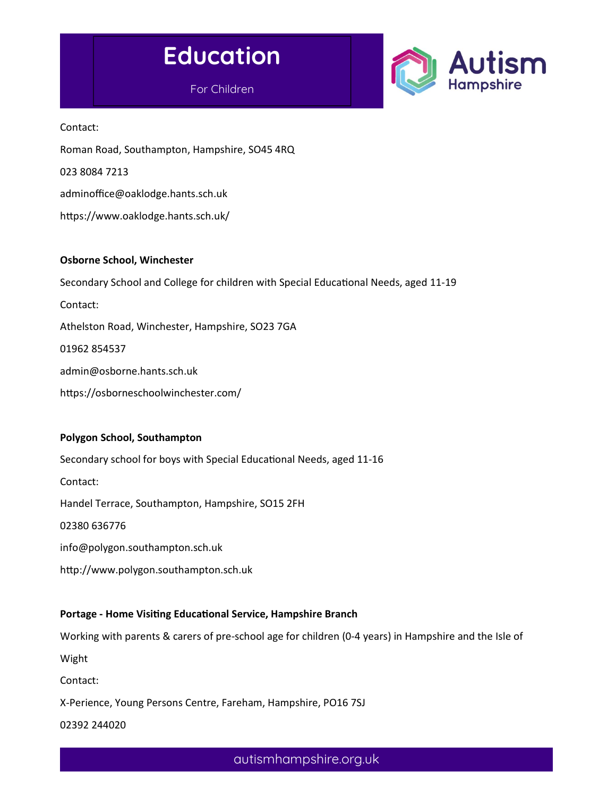



Contact:

Roman Road, Southampton, Hampshire, SO45 4RQ

023 8084 7213

adminoffice@oaklodge.hants.sch.uk

https://www.oaklodge.hants.sch.uk/

#### Osborne School, Winchester

Secondary School and College for children with Special Educational Needs, aged 11-19

Contact:

Athelston Road, Winchester, Hampshire, SO23 7GA

01962 854537

admin@osborne.hants.sch.uk

https://osborneschoolwinchester.com/

#### Polygon School, Southampton

Secondary school for boys with Special Educational Needs, aged 11-16 Contact: Handel Terrace, Southampton, Hampshire, SO15 2FH 02380 636776 info@polygon.southampton.sch.uk http://www.polygon.southampton.sch.uk

# Portage - Home Visiting Educational Service, Hampshire Branch

Working with parents & carers of pre-school age for children (0-4 years) in Hampshire and the Isle of Wight

Contact:

X-Perience, Young Persons Centre, Fareham, Hampshire, PO16 7SJ

02392 244020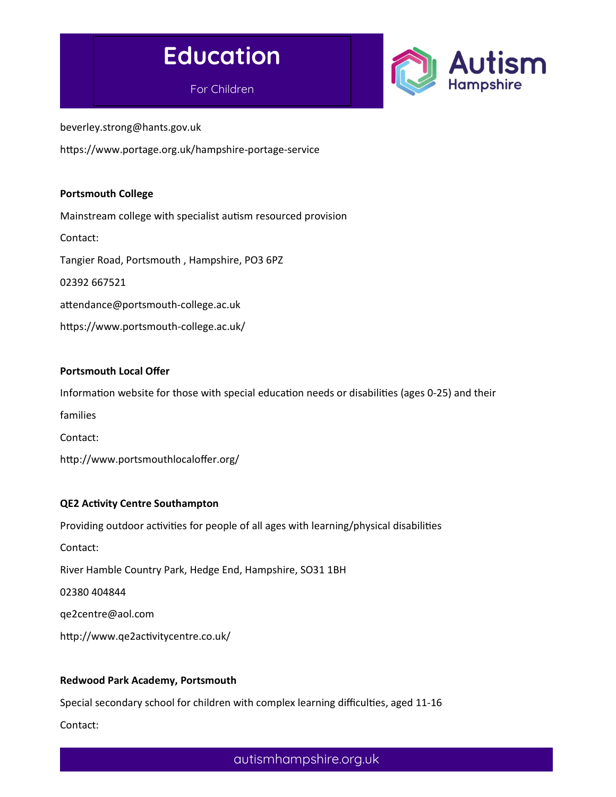

For Children



beverley.strong@hants.gov.uk

https://www.portage.org.uk/hampshire-portage-service

#### Portsmouth College

Mainstream college with specialist autism resourced provision Contact: Tangier Road, Portsmouth , Hampshire, PO3 6PZ 02392 667521 attendance@portsmouth-college.ac.uk https://www.portsmouth-college.ac.uk/

#### Portsmouth Local Offer

Information website for those with special education needs or disabilities (ages 0-25) and their

families

Contact:

http://www.portsmouthlocaloffer.org/

#### QE2 Activity Centre Southampton

Providing outdoor activities for people of all ages with learning/physical disabilities

Contact:

River Hamble Country Park, Hedge End, Hampshire, SO31 1BH

02380 404844

qe2centre@aol.com

http://www.qe2activitycentre.co.uk/

#### Redwood Park Academy, Portsmouth

Special secondary school for children with complex learning difficulties, aged 11-16 Contact: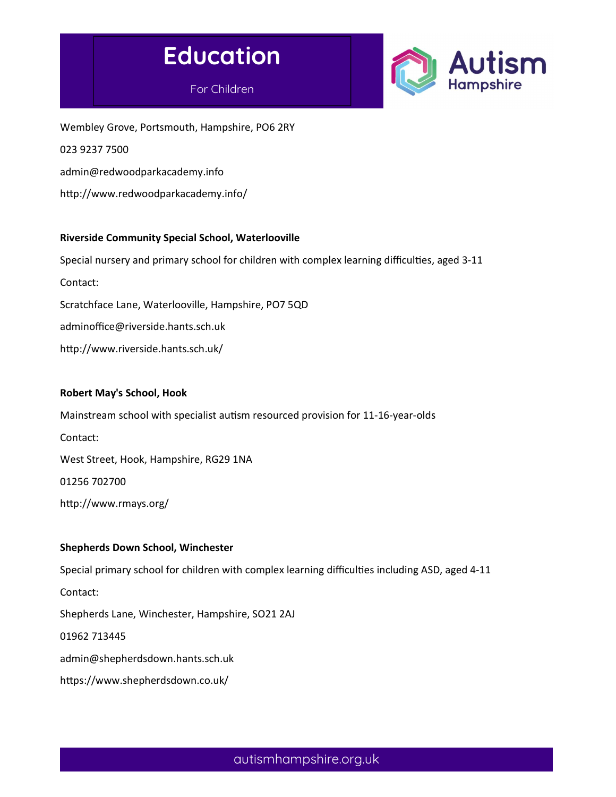





Wembley Grove, Portsmouth, Hampshire, PO6 2RY 023 9237 7500 admin@redwoodparkacademy.info http://www.redwoodparkacademy.info/

#### Riverside Community Special School, Waterlooville

Special nursery and primary school for children with complex learning difficulties, aged 3-11 Contact: Scratchface Lane, Waterlooville, Hampshire, PO7 5QD adminoffice@riverside.hants.sch.uk http://www.riverside.hants.sch.uk/

#### Robert May's School, Hook

Mainstream school with specialist autism resourced provision for 11-16-year-olds Contact: West Street, Hook, Hampshire, RG29 1NA 01256 702700 http://www.rmays.org/

#### Shepherds Down School, Winchester

Special primary school for children with complex learning difficulties including ASD, aged 4-11 Contact: Shepherds Lane, Winchester, Hampshire, SO21 2AJ 01962 713445 admin@shepherdsdown.hants.sch.uk https://www.shepherdsdown.co.uk/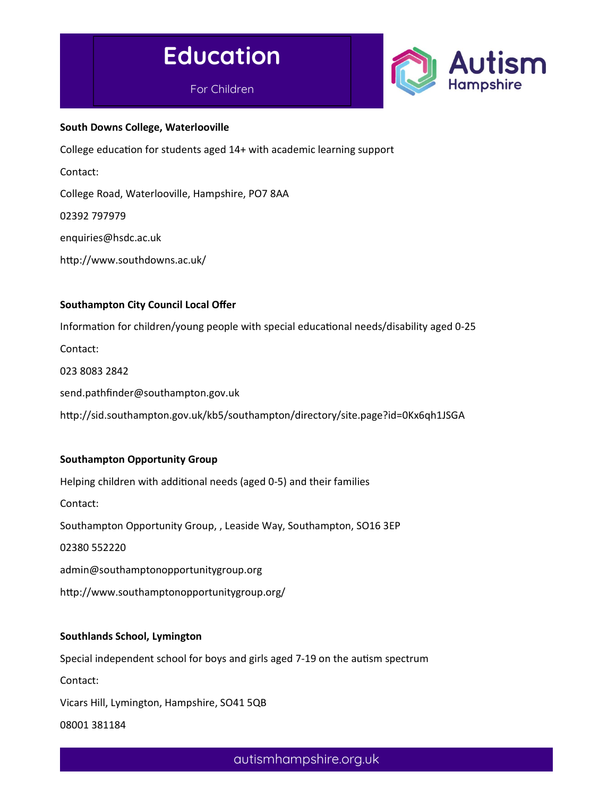



#### South Downs College, Waterlooville

College education for students aged 14+ with academic learning support

Contact:

College Road, Waterlooville, Hampshire, PO7 8AA

02392 797979

enquiries@hsdc.ac.uk

http://www.southdowns.ac.uk/

#### Southampton City Council Local Offer

Information for children/young people with special educational needs/disability aged 0-25 Contact: 023 8083 2842 send.pathfinder@southampton.gov.uk http://sid.southampton.gov.uk/kb5/southampton/directory/site.page?id=0Kx6qh1JSGA

#### Southampton Opportunity Group

Helping children with additional needs (aged 0-5) and their families Contact: Southampton Opportunity Group, , Leaside Way, Southampton, SO16 3EP 02380 552220 admin@southamptonopportunitygroup.org http://www.southamptonopportunitygroup.org/

#### Southlands School, Lymington

Special independent school for boys and girls aged 7-19 on the autism spectrum

Contact:

Vicars Hill, Lymington, Hampshire, SO41 5QB

08001 381184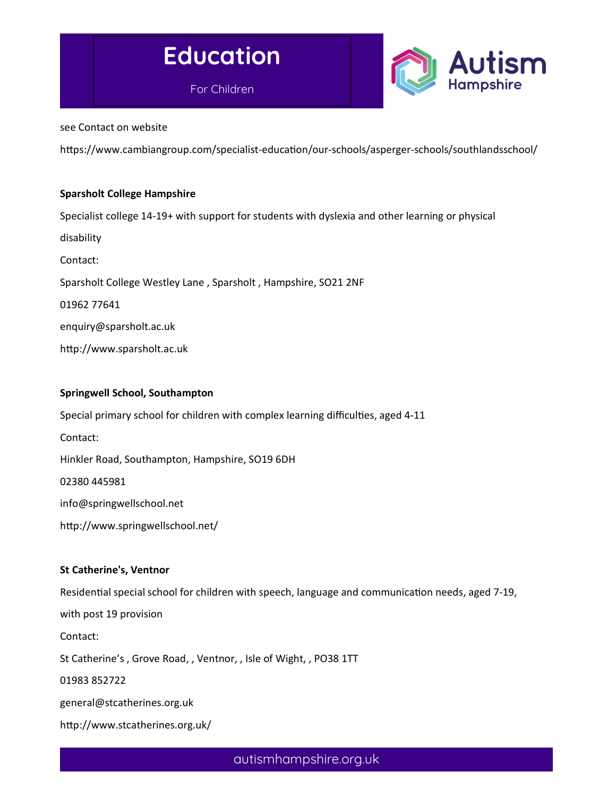



see Contact on website

https://www.cambiangroup.com/specialist-education/our-schools/asperger-schools/southlandsschool/

#### Sparsholt College Hampshire

Specialist college 14-19+ with support for students with dyslexia and other learning or physical disability Contact: Sparsholt College Westley Lane , Sparsholt , Hampshire, SO21 2NF 01962 77641 enquiry@sparsholt.ac.uk http://www.sparsholt.ac.uk

#### Springwell School, Southampton

Special primary school for children with complex learning difficulties, aged 4-11

Contact:

Hinkler Road, Southampton, Hampshire, SO19 6DH

02380 445981

info@springwellschool.net

http://www.springwellschool.net/

#### St Catherine's, Ventnor

Residential special school for children with speech, language and communication needs, aged 7-19,

with post 19 provision

Contact:

St Catherine's , Grove Road, , Ventnor, , Isle of Wight, , PO38 1TT

01983 852722

general@stcatherines.org.uk

http://www.stcatherines.org.uk/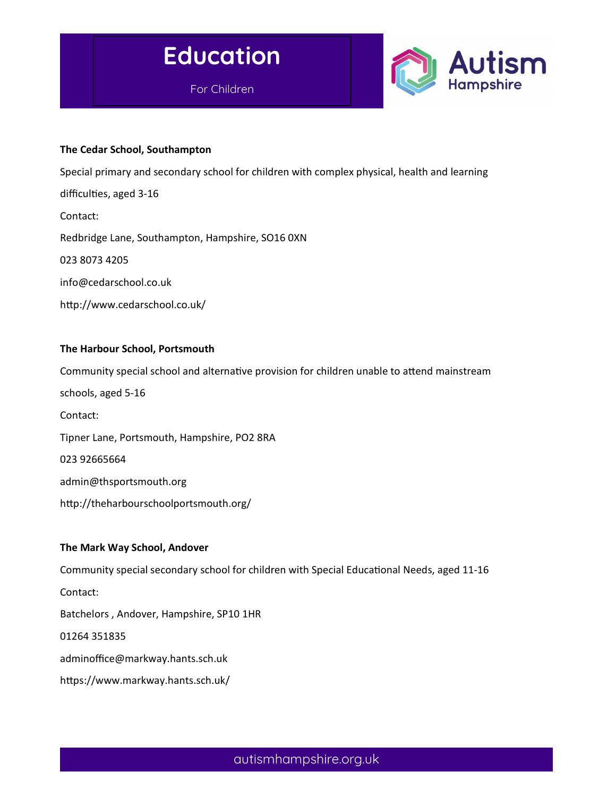



#### The Cedar School, Southampton

Special primary and secondary school for children with complex physical, health and learning difficulties, aged 3-16

Contact:

Redbridge Lane, Southampton, Hampshire, SO16 0XN

023 8073 4205

info@cedarschool.co.uk

http://www.cedarschool.co.uk/

#### The Harbour School, Portsmouth

Community special school and alternative provision for children unable to attend mainstream schools, aged 5-16 Contact: Tipner Lane, Portsmouth, Hampshire, PO2 8RA 023 92665664 admin@thsportsmouth.org http://theharbourschoolportsmouth.org/

#### The Mark Way School, Andover

Community special secondary school for children with Special Educational Needs, aged 11-16 Contact: Batchelors , Andover, Hampshire, SP10 1HR 01264 351835 adminoffice@markway.hants.sch.uk https://www.markway.hants.sch.uk/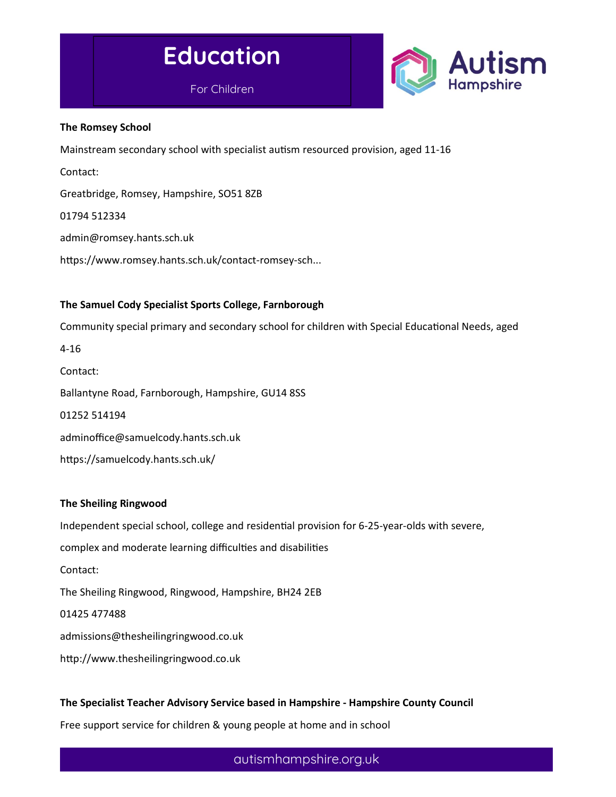



#### The Romsey School

Mainstream secondary school with specialist autism resourced provision, aged 11-16

Contact:

Greatbridge, Romsey, Hampshire, SO51 8ZB

01794 512334

admin@romsey.hants.sch.uk

https://www.romsey.hants.sch.uk/contact-romsey-sch...

#### The Samuel Cody Specialist Sports College, Farnborough

Community special primary and secondary school for children with Special Educational Needs, aged

4-16 Contact: Ballantyne Road, Farnborough, Hampshire, GU14 8SS 01252 514194 adminoffice@samuelcody.hants.sch.uk https://samuelcody.hants.sch.uk/

#### The Sheiling Ringwood

Independent special school, college and residential provision for 6-25-year-olds with severe, complex and moderate learning difficulties and disabilities Contact: The Sheiling Ringwood, Ringwood, Hampshire, BH24 2EB 01425 477488 admissions@thesheilingringwood.co.uk

http://www.thesheilingringwood.co.uk

#### The Specialist Teacher Advisory Service based in Hampshire - Hampshire County Council

Free support service for children & young people at home and in school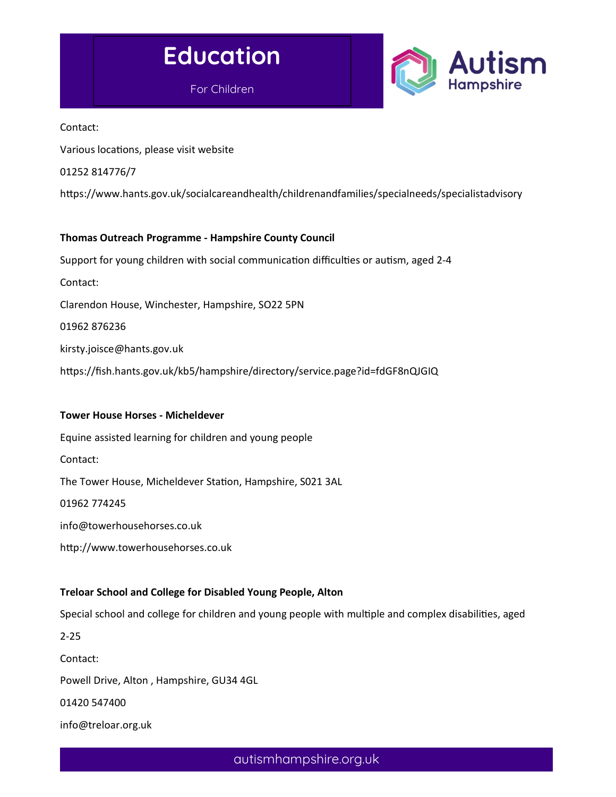



Contact:

Various locations, please visit website

01252 814776/7

https://www.hants.gov.uk/socialcareandhealth/childrenandfamilies/specialneeds/specialistadvisory

#### Thomas Outreach Programme - Hampshire County Council

Support for young children with social communication difficulties or autism, aged 2-4 Contact:

Clarendon House, Winchester, Hampshire, SO22 5PN

01962 876236

kirsty.joisce@hants.gov.uk

https://fish.hants.gov.uk/kb5/hampshire/directory/service.page?id=fdGF8nQJGIQ

#### Tower House Horses - Micheldever

Equine assisted learning for children and young people

Contact:

The Tower House, Micheldever Station, Hampshire, S021 3AL

01962 774245

info@towerhousehorses.co.uk

http://www.towerhousehorses.co.uk

# Treloar School and College for Disabled Young People, Alton

Special school and college for children and young people with multiple and complex disabilities, aged

2-25

Contact:

Powell Drive, Alton , Hampshire, GU34 4GL

01420 547400

info@treloar.org.uk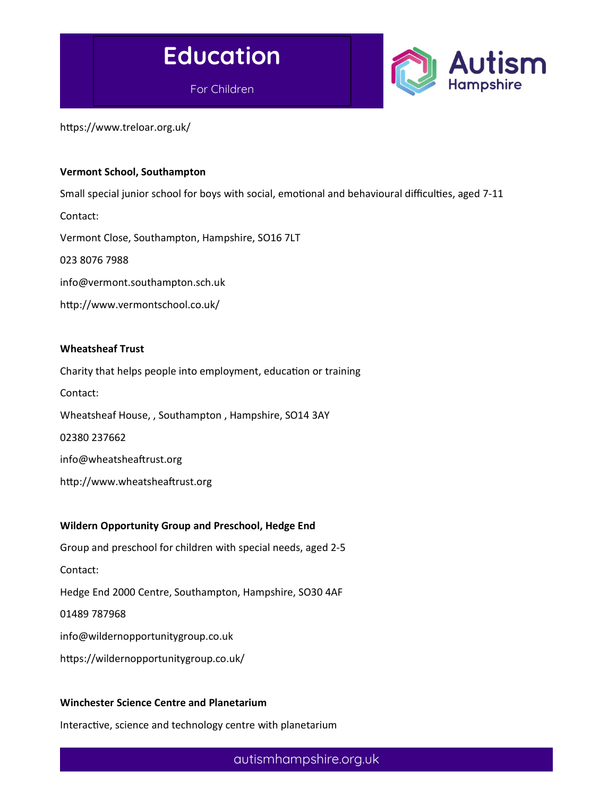

https://www.treloar.org.uk/

#### Vermont School, Southampton

Small special junior school for boys with social, emotional and behavioural difficulties, aged 7-11 Contact: Vermont Close, Southampton, Hampshire, SO16 7LT 023 8076 7988 info@vermont.southampton.sch.uk http://www.vermontschool.co.uk/

#### Wheatsheaf Trust

Charity that helps people into employment, education or training Contact: Wheatsheaf House, , Southampton , Hampshire, SO14 3AY 02380 237662 info@wheatsheaftrust.org

http://www.wheatsheaftrust.org

#### Wildern Opportunity Group and Preschool, Hedge End

Group and preschool for children with special needs, aged 2-5 Contact: Hedge End 2000 Centre, Southampton, Hampshire, SO30 4AF 01489 787968 info@wildernopportunitygroup.co.uk https://wildernopportunitygroup.co.uk/

#### Winchester Science Centre and Planetarium

Interactive, science and technology centre with planetarium